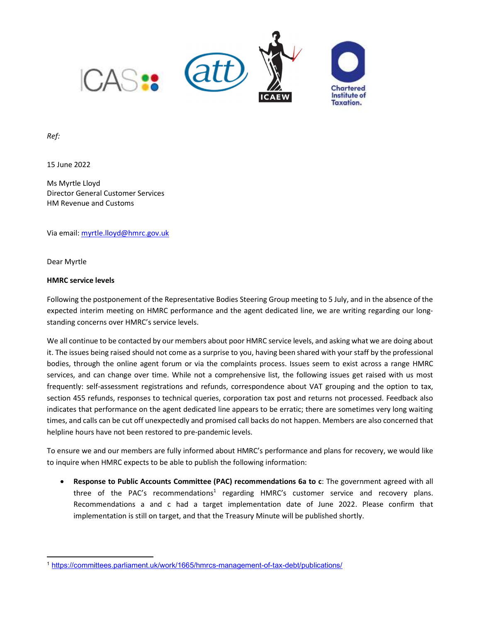

Ref:

15 June 2022

Ms Myrtle Lloyd Director General Customer Services HM Revenue and Customs

Via email: myrtle.lloyd@hmrc.gov.uk

Dear Myrtle

## HMRC service levels

Following the postponement of the Representative Bodies Steering Group meeting to 5 July, and in the absence of the expected interim meeting on HMRC performance and the agent dedicated line, we are writing regarding our longstanding concerns over HMRC's service levels.

We all continue to be contacted by our members about poor HMRC service levels, and asking what we are doing about it. The issues being raised should not come as a surprise to you, having been shared with your staff by the professional bodies, through the online agent forum or via the complaints process. Issues seem to exist across a range HMRC services, and can change over time. While not a comprehensive list, the following issues get raised with us most frequently: self-assessment registrations and refunds, correspondence about VAT grouping and the option to tax, section 455 refunds, responses to technical queries, corporation tax post and returns not processed. Feedback also indicates that performance on the agent dedicated line appears to be erratic; there are sometimes very long waiting times, and calls can be cut off unexpectedly and promised call backs do not happen. Members are also concerned that helpline hours have not been restored to pre-pandemic levels.

To ensure we and our members are fully informed about HMRC's performance and plans for recovery, we would like to inquire when HMRC expects to be able to publish the following information:

 Response to Public Accounts Committee (PAC) recommendations 6a to c: The government agreed with all three of the PAC's recommendations<sup>1</sup> regarding HMRC's customer service and recovery plans. Recommendations a and c had a target implementation date of June 2022. Please confirm that implementation is still on target, and that the Treasury Minute will be published shortly.

<sup>1</sup> https://committees.parliament.uk/work/1665/hmrcs-management-of-tax-debt/publications/